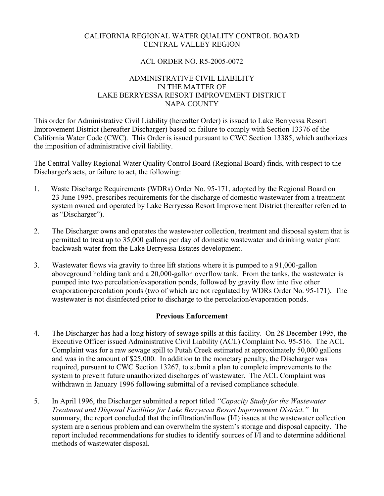### CALIFORNIA REGIONAL WATER QUALITY CONTROL BOARD CENTRAL VALLEY REGION

### ACL ORDER NO. R5-2005-0072

### ADMINISTRATIVE CIVIL LIABILITY IN THE MATTER OF LAKE BERRYESSA RESORT IMPROVEMENT DISTRICT NAPA COUNTY

This order for Administrative Civil Liability (hereafter Order) is issued to Lake Berryessa Resort Improvement District (hereafter Discharger) based on failure to comply with Section 13376 of the California Water Code (CWC). This Order is issued pursuant to CWC Section 13385, which authorizes the imposition of administrative civil liability.

The Central Valley Regional Water Quality Control Board (Regional Board) finds, with respect to the Discharger's acts, or failure to act, the following:

- 1. Waste Discharge Requirements (WDRs) Order No. 95-171, adopted by the Regional Board on 23 June 1995, prescribes requirements for the discharge of domestic wastewater from a treatment system owned and operated by Lake Berryessa Resort Improvement District (hereafter referred to as "Discharger").
- 2. The Discharger owns and operates the wastewater collection, treatment and disposal system that is permitted to treat up to 35,000 gallons per day of domestic wastewater and drinking water plant backwash water from the Lake Berryessa Estates development.
- 3. Wastewater flows via gravity to three lift stations where it is pumped to a 91,000-gallon aboveground holding tank and a 20,000-gallon overflow tank. From the tanks, the wastewater is pumped into two percolation/evaporation ponds, followed by gravity flow into five other evaporation/percolation ponds (two of which are not regulated by WDRs Order No. 95-171). The wastewater is not disinfected prior to discharge to the percolation/evaporation ponds.

# **Previous Enforcement**

- 4. The Discharger has had a long history of sewage spills at this facility. On 28 December 1995, the Executive Officer issued Administrative Civil Liability (ACL) Complaint No. 95-516. The ACL Complaint was for a raw sewage spill to Putah Creek estimated at approximately 50,000 gallons and was in the amount of \$25,000. In addition to the monetary penalty, the Discharger was required, pursuant to CWC Section 13267, to submit a plan to complete improvements to the system to prevent future unauthorized discharges of wastewater. The ACL Complaint was withdrawn in January 1996 following submittal of a revised compliance schedule.
- 5. In April 1996, the Discharger submitted a report titled *"Capacity Study for the Wastewater Treatment and Disposal Facilities for Lake Berryessa Resort Improvement District."* In summary, the report concluded that the infiltration/inflow (I/I) issues at the wastewater collection system are a serious problem and can overwhelm the system's storage and disposal capacity. The report included recommendations for studies to identify sources of I/I and to determine additional methods of wastewater disposal.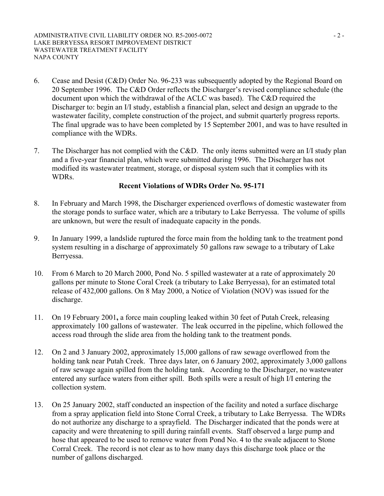- 6. Cease and Desist (C&D) Order No. 96-233 was subsequently adopted by the Regional Board on 20 September 1996. The C&D Order reflects the Discharger's revised compliance schedule (the document upon which the withdrawal of the ACLC was based). The C&D required the Discharger to: begin an I/I study, establish a financial plan, select and design an upgrade to the wastewater facility, complete construction of the project, and submit quarterly progress reports. The final upgrade was to have been completed by 15 September 2001, and was to have resulted in compliance with the WDRs.
- 7. The Discharger has not complied with the C&D. The only items submitted were an I/I study plan and a five-year financial plan, which were submitted during 1996. The Discharger has not modified its wastewater treatment, storage, or disposal system such that it complies with its WDRs.

### **Recent Violations of WDRs Order No. 95-171**

- 8. In February and March 1998, the Discharger experienced overflows of domestic wastewater from the storage ponds to surface water, which are a tributary to Lake Berryessa. The volume of spills are unknown, but were the result of inadequate capacity in the ponds.
- 9. In January 1999, a landslide ruptured the force main from the holding tank to the treatment pond system resulting in a discharge of approximately 50 gallons raw sewage to a tributary of Lake Berryessa.
- 10. From 6 March to 20 March 2000, Pond No. 5 spilled wastewater at a rate of approximately 20 gallons per minute to Stone Coral Creek (a tributary to Lake Berryessa), for an estimated total release of 432,000 gallons. On 8 May 2000, a Notice of Violation (NOV) was issued for the discharge.
- 11. On 19 February 2001**,** a force main coupling leaked within 30 feet of Putah Creek, releasing approximately 100 gallons of wastewater. The leak occurred in the pipeline, which followed the access road through the slide area from the holding tank to the treatment ponds.
- 12. On 2 and 3 January 2002, approximately 15,000 gallons of raw sewage overflowed from the holding tank near Putah Creek. Three days later, on 6 January 2002, approximately 3,000 gallons of raw sewage again spilled from the holding tank. According to the Discharger, no wastewater entered any surface waters from either spill. Both spills were a result of high I/I entering the collection system.
- 13. On 25 January 2002, staff conducted an inspection of the facility and noted a surface discharge from a spray application field into Stone Corral Creek, a tributary to Lake Berryessa. The WDRs do not authorize any discharge to a sprayfield. The Discharger indicated that the ponds were at capacity and were threatening to spill during rainfall events. Staff observed a large pump and hose that appeared to be used to remove water from Pond No. 4 to the swale adjacent to Stone Corral Creek. The record is not clear as to how many days this discharge took place or the number of gallons discharged.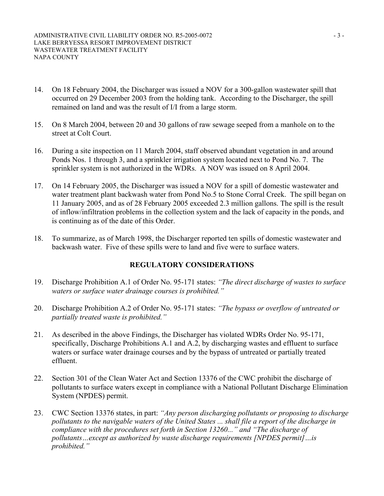- 14. On 18 February 2004, the Discharger was issued a NOV for a 300-gallon wastewater spill that occurred on 29 December 2003 from the holding tank. According to the Discharger, the spill remained on land and was the result of I/I from a large storm.
- 15. On 8 March 2004, between 20 and 30 gallons of raw sewage seeped from a manhole on to the street at Colt Court.
- 16. During a site inspection on 11 March 2004, staff observed abundant vegetation in and around Ponds Nos. 1 through 3, and a sprinkler irrigation system located next to Pond No. 7. The sprinkler system is not authorized in the WDRs. A NOV was issued on 8 April 2004.
- 17. On 14 February 2005, the Discharger was issued a NOV for a spill of domestic wastewater and water treatment plant backwash water from Pond No.5 to Stone Corral Creek. The spill began on 11 January 2005, and as of 28 February 2005 exceeded 2.3 million gallons. The spill is the result of inflow/infiltration problems in the collection system and the lack of capacity in the ponds, and is continuing as of the date of this Order.
- 18. To summarize, as of March 1998, the Discharger reported ten spills of domestic wastewater and backwash water. Five of these spills were to land and five were to surface waters.

# **REGULATORY CONSIDERATIONS**

- 19. Discharge Prohibition A.1 of Order No. 95-171 states: *"The direct discharge of wastes to surface waters or surface water drainage courses is prohibited."*
- 20. Discharge Prohibition A.2 of Order No. 95-171 states: *"The bypass or overflow of untreated or partially treated waste is prohibited."*
- 21. As described in the above Findings, the Discharger has violated WDRs Order No. 95-171, specifically, Discharge Prohibitions A.1 and A.2, by discharging wastes and effluent to surface waters or surface water drainage courses and by the bypass of untreated or partially treated effluent.
- 22. Section 301 of the Clean Water Act and Section 13376 of the CWC prohibit the discharge of pollutants to surface waters except in compliance with a National Pollutant Discharge Elimination System (NPDES) permit.
- 23. CWC Section 13376 states, in part: *"Any person discharging pollutants or proposing to discharge pollutants to the navigable waters of the United States ... shall file a report of the discharge in compliance with the procedures set forth in Section 13260..." and "The discharge of pollutants…except as authorized by waste discharge requirements [NPDES permit]…is prohibited."*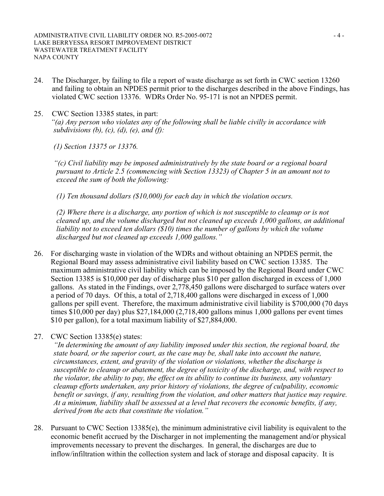- 24. The Discharger, by failing to file a report of waste discharge as set forth in CWC section 13260 and failing to obtain an NPDES permit prior to the discharges described in the above Findings, has violated CWC section 13376. WDRs Order No. 95-171 is not an NPDES permit.
- 25. CWC Section 13385 states, in part: *"(a) Any person who violates any of the following shall be liable civilly in accordance with subdivisions (b), (c), (d), (e), and (f):*

*(1) Section 13375 or 13376.* 

*"(c) Civil liability may be imposed administratively by the state board or a regional board pursuant to Article 2.5 (commencing with Section 13323) of Chapter 5 in an amount not to exceed the sum of both the following:* 

*(1) Ten thousand dollars (\$10,000) for each day in which the violation occurs.* 

*(2) Where there is a discharge, any portion of which is not susceptible to cleanup or is not cleaned up, and the volume discharged but not cleaned up exceeds 1,000 gallons, an additional liability not to exceed ten dollars (\$10) times the number of gallons by which the volume discharged but not cleaned up exceeds 1,000 gallons."*

- 26. For discharging waste in violation of the WDRs and without obtaining an NPDES permit, the Regional Board may assess administrative civil liability based on CWC section 13385. The maximum administrative civil liability which can be imposed by the Regional Board under CWC Section 13385 is \$10,000 per day of discharge plus \$10 per gallon discharged in excess of 1,000 gallons. As stated in the Findings, over 2,778,450 gallons were discharged to surface waters over a period of 70 days. Of this, a total of 2,718,400 gallons were discharged in excess of 1,000 gallons per spill event. Therefore, the maximum administrative civil liability is \$700,000 (70 days times \$10,000 per day) plus \$27,184,000 (2,718,400 gallons minus 1,000 gallons per event times \$10 per gallon), for a total maximum liability of \$27,884,000.
- 27. CWC Section 13385(e) states:

*"In determining the amount of any liability imposed under this section, the regional board, the state board, or the superior court, as the case may be, shall take into account the nature, circumstances, extent, and gravity of the violation or violations, whether the discharge is susceptible to cleanup or abatement, the degree of toxicity of the discharge, and, with respect to the violator, the ability to pay, the effect on its ability to continue its business, any voluntary cleanup efforts undertaken, any prior history of violations, the degree of culpability, economic benefit or savings, if any, resulting from the violation, and other matters that justice may require. At a minimum, liability shall be assessed at a level that recovers the economic benefits, if any, derived from the acts that constitute the violation."* 

28. Pursuant to CWC Section 13385(e), the minimum administrative civil liability is equivalent to the economic benefit accrued by the Discharger in not implementing the management and/or physical improvements necessary to prevent the discharges. In general, the discharges are due to inflow/infiltration within the collection system and lack of storage and disposal capacity. It is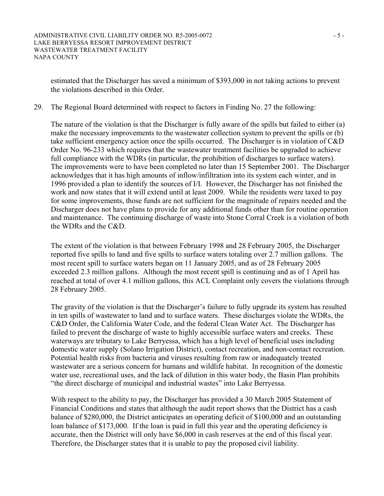estimated that the Discharger has saved a minimum of \$393,000 in not taking actions to prevent the violations described in this Order.

29. The Regional Board determined with respect to factors in Finding No. 27 the following:

The nature of the violation is that the Discharger is fully aware of the spills but failed to either (a) make the necessary improvements to the wastewater collection system to prevent the spills or (b) take sufficient emergency action once the spills occurred. The Discharger is in violation of C&D Order No. 96-233 which requires that the wastewater treatment facilities be upgraded to achieve full compliance with the WDRs (in particular, the prohibition of discharges to surface waters). The improvements were to have been completed no later than 15 September 2001. The Discharger acknowledges that it has high amounts of inflow/infiltration into its system each winter, and in 1996 provided a plan to identify the sources of I/I. However, the Discharger has not finished the work and now states that it will extend until at least 2009. While the residents were taxed to pay for some improvements, those funds are not sufficient for the magnitude of repairs needed and the Discharger does not have plans to provide for any additional funds other than for routine operation and maintenance. The continuing discharge of waste into Stone Corral Creek is a violation of both the WDRs and the C&D.

The extent of the violation is that between February 1998 and 28 February 2005, the Discharger reported five spills to land and five spills to surface waters totaling over 2.7 million gallons. The most recent spill to surface waters began on 11 January 2005, and as of 28 February 2005 exceeded 2.3 million gallons. Although the most recent spill is continuing and as of 1 April has reached at total of over 4.1 million gallons, this ACL Complaint only covers the violations through 28 February 2005.

The gravity of the violation is that the Discharger's failure to fully upgrade its system has resulted in ten spills of wastewater to land and to surface waters. These discharges violate the WDRs, the C&D Order, the California Water Code, and the federal Clean Water Act. The Discharger has failed to prevent the discharge of waste to highly accessible surface waters and creeks. These waterways are tributary to Lake Berryessa, which has a high level of beneficial uses including domestic water supply (Solano Irrigation District), contact recreation, and non-contact recreation. Potential health risks from bacteria and viruses resulting from raw or inadequately treated wastewater are a serious concern for humans and wildlife habitat. In recognition of the domestic water use, recreational uses, and the lack of dilution in this water body, the Basin Plan prohibits "the direct discharge of municipal and industrial wastes" into Lake Berryessa.

With respect to the ability to pay, the Discharger has provided a 30 March 2005 Statement of Financial Conditions and states that although the audit report shows that the District has a cash balance of \$280,000, the District anticipates an operating deficit of \$100,000 and an outstanding loan balance of \$173,000. If the loan is paid in full this year and the operating deficiency is accurate, then the District will only have \$6,000 in cash reserves at the end of this fiscal year. Therefore, the Discharger states that it is unable to pay the proposed civil liability.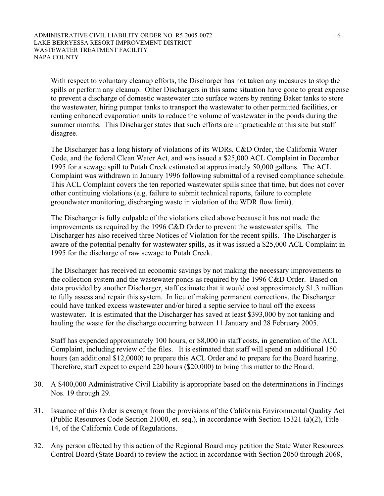With respect to voluntary cleanup efforts, the Discharger has not taken any measures to stop the spills or perform any cleanup. Other Dischargers in this same situation have gone to great expense to prevent a discharge of domestic wastewater into surface waters by renting Baker tanks to store the wastewater, hiring pumper tanks to transport the wastewater to other permitted facilities, or renting enhanced evaporation units to reduce the volume of wastewater in the ponds during the summer months. This Discharger states that such efforts are impracticable at this site but staff disagree.

The Discharger has a long history of violations of its WDRs, C&D Order, the California Water Code, and the federal Clean Water Act, and was issued a \$25,000 ACL Complaint in December 1995 for a sewage spill to Putah Creek estimated at approximately 50,000 gallons. The ACL Complaint was withdrawn in January 1996 following submittal of a revised compliance schedule. This ACL Complaint covers the ten reported wastewater spills since that time, but does not cover other continuing violations (e.g. failure to submit technical reports, failure to complete groundwater monitoring, discharging waste in violation of the WDR flow limit).

The Discharger is fully culpable of the violations cited above because it has not made the improvements as required by the 1996 C&D Order to prevent the wastewater spills. The Discharger has also received three Notices of Violation for the recent spills. The Discharger is aware of the potential penalty for wastewater spills, as it was issued a \$25,000 ACL Complaint in 1995 for the discharge of raw sewage to Putah Creek.

The Discharger has received an economic savings by not making the necessary improvements to the collection system and the wastewater ponds as required by the 1996 C&D Order. Based on data provided by another Discharger, staff estimate that it would cost approximately \$1.3 million to fully assess and repair this system. In lieu of making permanent corrections, the Discharger could have tanked excess wastewater and/or hired a septic service to haul off the excess wastewater. It is estimated that the Discharger has saved at least \$393,000 by not tanking and hauling the waste for the discharge occurring between 11 January and 28 February 2005.

Staff has expended approximately 100 hours, or \$8,000 in staff costs, in generation of the ACL Complaint, including review of the files. It is estimated that staff will spend an additional 150 hours (an additional \$12,0000) to prepare this ACL Order and to prepare for the Board hearing. Therefore, staff expect to expend 220 hours (\$20,000) to bring this matter to the Board.

- 30. A \$400,000 Administrative Civil Liability is appropriate based on the determinations in Findings Nos. 19 through 29.
- 31. Issuance of this Order is exempt from the provisions of the California Environmental Quality Act (Public Resources Code Section 21000, et. seq.), in accordance with Section 15321 (a)(2), Title 14, of the California Code of Regulations.
- 32. Any person affected by this action of the Regional Board may petition the State Water Resources Control Board (State Board) to review the action in accordance with Section 2050 through 2068,